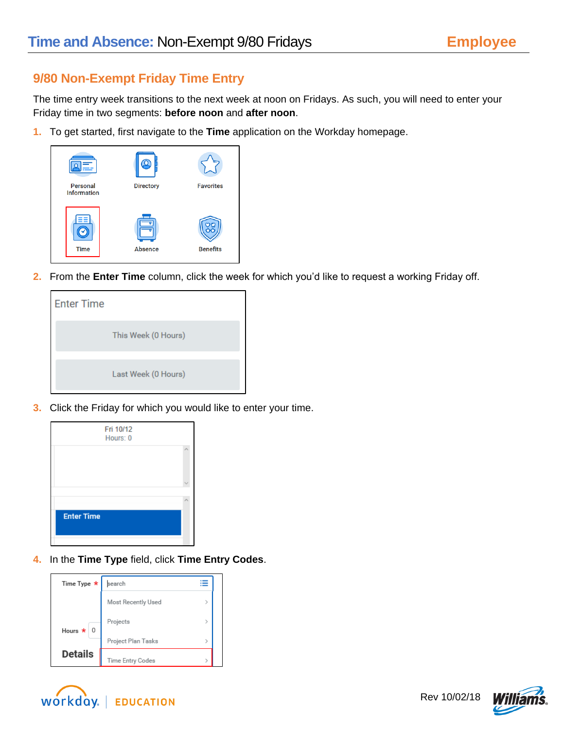## **9/80 Non-Exempt Friday Time Entry**

The time entry week transitions to the next week at noon on Fridays. As such, you will need to enter your Friday time in two segments: **before noon** and **after noon**.

**1.** To get started, first navigate to the **Time** application on the Workday homepage.



**2.** From the **Enter Time** column, click the week for which you'd like to request a working Friday off.



**3.** Click the Friday for which you would like to enter your time.



**4.** In the **Time Type** field, click **Time Entry Codes**.

| Time Type *                     | search             |               |  |
|---------------------------------|--------------------|---------------|--|
|                                 | Most Recently Used |               |  |
| Hours $\star$<br>$\overline{0}$ | Projects           |               |  |
|                                 | Project Plan Tasks | $\mathcal{P}$ |  |
| <b>Details</b>                  | Time Entry Codes   |               |  |



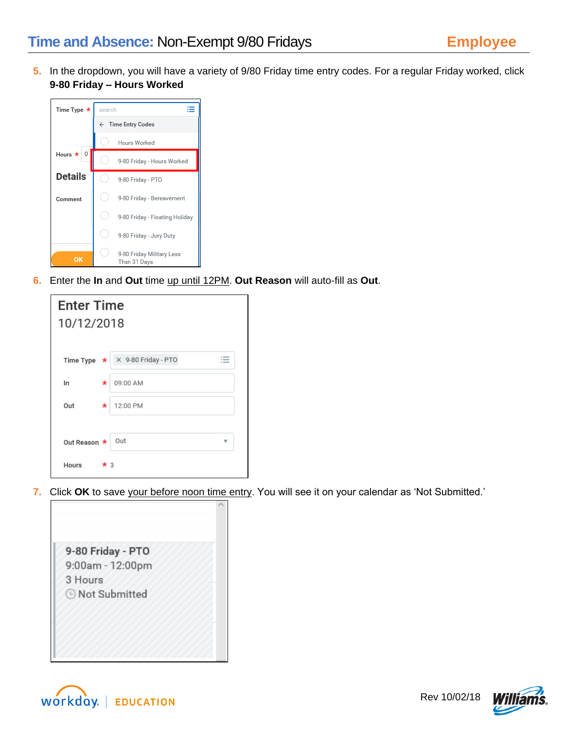**5.** In the dropdown, you will have a variety of 9/80 Friday time entry codes. For a regular Friday worked, click **9-80 Friday – Hours Worked**



**6.** Enter the **In** and **Out** time up until 12PM. **Out Reason** will auto-fill as **Out**.

| <b>Enter Time</b> |                     |
|-------------------|---------------------|
| 10/12/2018        |                     |
|                   |                     |
| Time Type $\star$ | X 9-80 Friday - PTO |
| In.<br>$\star$    | 09:00 AM            |
| Out<br>*          | 12:00 PM            |
|                   |                     |
| Out Reason *      | Out                 |
| Hours             | $\star$ 3           |

**7.** Click **OK** to save your before noon time entry. You will see it on your calendar as 'Not Submitted.'





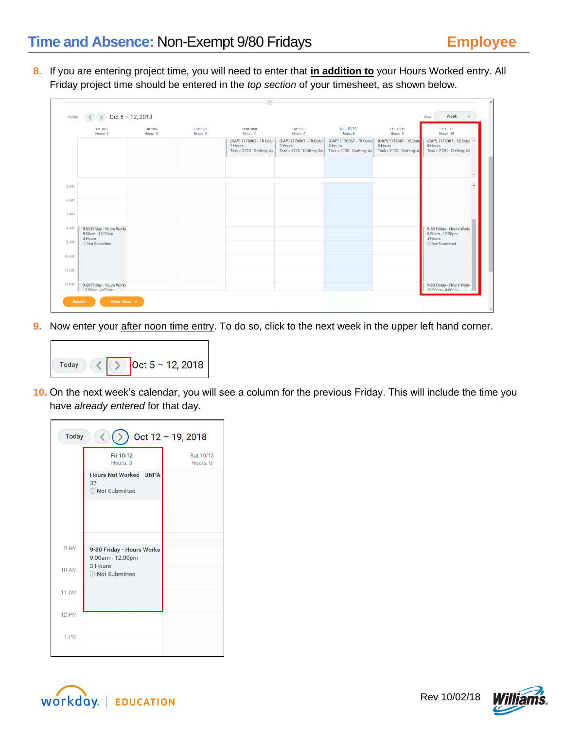**8.** If you are entering project time, you will need to enter that **in addition to** your Hours Worked entry. All Friday project time should be entered in the *top section* of your timesheet, as shown below.



**9.** Now enter your after noon time entry. To do so, click to the next week in the upper left hand corner.



**10.** On the next week's calendar, you will see a column for the previous Friday. This will include the time you have *already entered* for that day.

| Oct 12 - 19, 2018<br><b>Today</b> |                                                                       |                       |  |  |  |
|-----------------------------------|-----------------------------------------------------------------------|-----------------------|--|--|--|
|                                   | Fri 10/12<br>Hours: 3                                                 | Sat 10/13<br>Hours: 0 |  |  |  |
|                                   | <b>Hours Not Worked - UNPA</b><br>37<br><b><i>A</i></b> Not Submitted |                       |  |  |  |
|                                   |                                                                       |                       |  |  |  |
| 9 AM                              | 9-80 Friday - Hours Worke<br>9:00am - 12:00pm                         |                       |  |  |  |
| 10 AM                             | 3 Hours<br><b>E</b> Not Submitted                                     |                       |  |  |  |
| 11 AM                             |                                                                       |                       |  |  |  |
| <b>12 PM</b>                      |                                                                       |                       |  |  |  |
| 1 PM                              |                                                                       |                       |  |  |  |



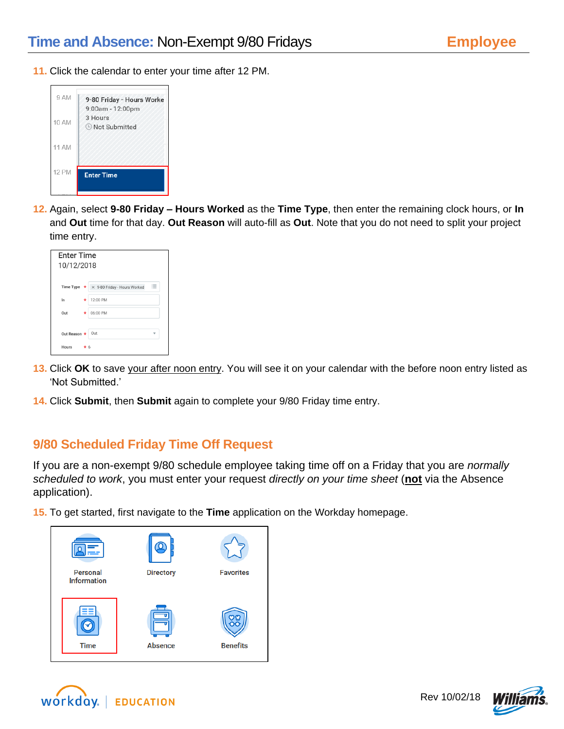**11.** Click the calendar to enter your time after 12 PM.



**12.** Again, select **9-80 Friday – Hours Worked** as the **Time Type**, then enter the remaining clock hours, or **In** and **Out** time for that day. **Out Reason** will auto-fill as **Out**. Note that you do not need to split your project time entry.

| <b>Enter Time</b><br>10/12/2018 |   |                                                          |  |
|---------------------------------|---|----------------------------------------------------------|--|
|                                 |   | 這<br>Time Type $\star \times$ 9-80 Friday - Hours Worked |  |
| In                              | * | 12:00 PM                                                 |  |
| Out                             | * | 06:00 PM                                                 |  |
|                                 |   |                                                          |  |
| Out Reason $\star$              |   | Out                                                      |  |
| Hours<br>$\star$ 6              |   |                                                          |  |

- **13.** Click **OK** to save your after noon entry. You will see it on your calendar with the before noon entry listed as 'Not Submitted.'
- **14.** Click **Submit**, then **Submit** again to complete your 9/80 Friday time entry.

## **9/80 Scheduled Friday Time Off Request**

If you are a non-exempt 9/80 schedule employee taking time off on a Friday that you are *normally scheduled to work*, you must enter your request *directly on your time sheet* (**not** via the Absence application).

**15.** To get started, first navigate to the **Time** application on the Workday homepage.